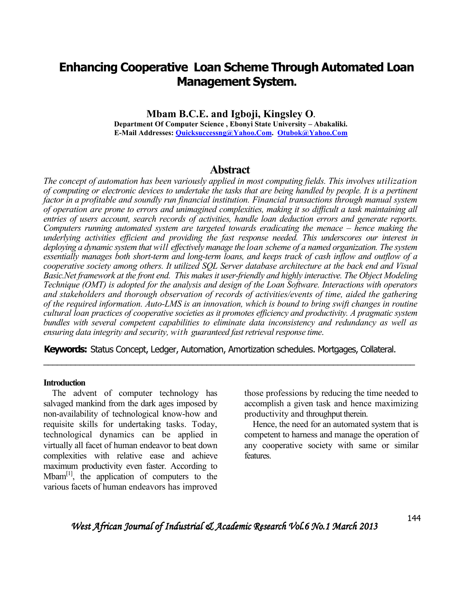# **Enhancing Cooperative Loan Scheme Through Automated Loan Management System.**

**Mbam B.C.E. and Igboji, Kingsley O. Department Of Computer Science , Ebonyi State University – Abakaliki. E-Mail Addresses: Quicksuccessng@Yahoo.Com. Otubok@Yahoo.Com**

# **Abstract**

*The concept of automation has been variously applied in most computing fields. This involves utilization of computing or electronic devices to undertake the tasks that are being handled by people. It is a pertinent factor in a profitable and soundly run financial institution. Financial transactions through manual system of operation are prone to errors and unimagined complexities, making it so difficult a task maintaining all entries of users account, search records of activities, handle loan deduction errors and generate reports. Computers running automated system are targeted towards eradicating the menace – hence making the underlying activities efficient and providing the fast response needed. This underscores our interest in deploying a dynamic system that will effectively manage the loan scheme of a named organization. The system essentially manages both short-term and long-term loans, and keeps track of cash inflow and outflow of a cooperative society among others. It utilized SQL Server database architecture at the back end and Visual Basic.Net framework at the front end. This makes it user-friendly and highly interactive. The Object Modeling Technique (OMT) is adopted for the analysis and design of the Loan Software. Interactions with operators and stakeholders and thorough observation of records of activities/events of time, aided the gathering of the required information. Auto-LMS is an innovation, which is bound to bring swift changes in routine cultural loan practices of cooperative societies as it promotes efficiency and productivity. A pragmatic system bundles with several competent capabilities to eliminate data inconsistency and redundancy as well as ensuring data integrity and security, with guaranteed fast retrieval response time*.

**Keywords:** Status Concept, Ledger, Automation, Amortization schedules. Mortgages, Collateral.

\_\_\_\_\_\_\_\_\_\_\_\_\_\_\_\_\_\_\_\_\_\_\_\_\_\_\_\_\_\_\_\_\_\_\_\_\_\_\_\_\_\_\_\_\_\_\_\_\_\_\_\_\_\_\_\_\_\_\_\_\_\_\_\_\_\_\_\_\_\_\_\_\_\_\_\_\_\_\_\_\_\_

#### **Introduction**

 The advent of computer technology has salvaged mankind from the dark ages imposed by non-availability of technological know-how and requisite skills for undertaking tasks. Today, technological dynamics can be applied in virtually all facet of human endeavor to beat down complexities with relative ease and achieve maximum productivity even faster. According to  $Mbam<sup>[1]</sup>$ , the application of computers to the various facets of human endeavors has improved

those professions by reducing the time needed to accomplish a given task and hence maximizing productivity and throughput therein.

 Hence, the need for an automated system that is competent to harness and manage the operation of any cooperative society with same or similar features.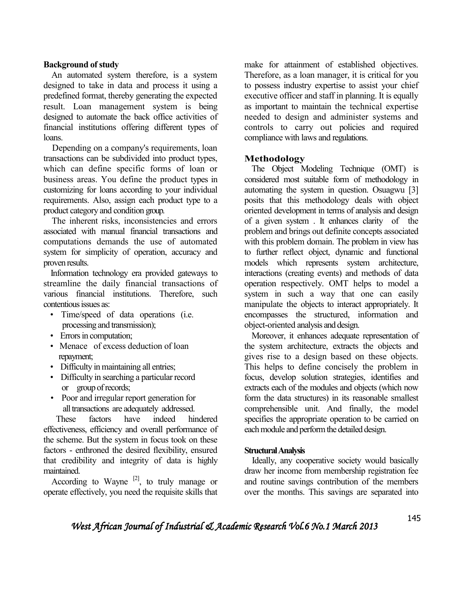## **Background of study**

An automated system therefore, is a system designed to take in data and process it using a predefined format, thereby generating the expected result. Loan management system is being designed to automate the back office activities of financial institutions offering different types of loans.

 Depending on a company's requirements, loan transactions can be subdivided into product types, which can define specific forms of loan or business areas. You define the product types in customizing for loans according to your individual requirements. Also, assign each product type to a product category and condition group.

 The inherent risks, inconsistencies and errors associated with manual financial transactions and computations demands the use of automated system for simplicity of operation, accuracy and proven results.

 Information technology era provided gateways to streamline the daily financial transactions of various financial institutions. Therefore, such contentious issues as:

- Time/speed of data operations (i.e. processing and transmission);
- Errors in computation;
- Menace of excess deduction of loan repayment;
- Difficulty in maintaining all entries;
- Difficulty in searching a particular record or group of records;
- Poor and irregular report generation for all transactions are adequately addressed.

 These factors have indeed hindered effectiveness, efficiency and overall performance of the scheme. But the system in focus took on these factors - enthroned the desired flexibility, ensured that credibility and integrity of data is highly maintained.

According to Wayne  $[2]$ , to truly manage or operate effectively, you need the requisite skills that make for attainment of established objectives. Therefore, as a loan manager, it is critical for you to possess industry expertise to assist your chief executive officer and staff in planning. It is equally as important to maintain the technical expertise needed to design and administer systems and controls to carry out policies and required compliance with laws and regulations.

# **Methodology**

 The Object Modeling Technique (OMT) is considered most suitable form of methodology in automating the system in question. Osuagwu [3] posits that this methodology deals with object oriented development in terms of analysis and design of a given system . It enhances clarity of the problem and brings out definite concepts associated with this problem domain. The problem in view has to further reflect object, dynamic and functional models which represents system architecture, interactions (creating events) and methods of data operation respectively. OMT helps to model a system in such a way that one can easily manipulate the objects to interact appropriately. It encompasses the structured, information and object-oriented analysis and design.

 Moreover, it enhances adequate representation of the system architecture, extracts the objects and gives rise to a design based on these objects. This helps to define concisely the problem in focus, develop solution strategies, identifies and extracts each of the modules and objects (which now form the data structures) in its reasonable smallest comprehensible unit. And finally, the model specifies the appropriate operation to be carried on each module and perform the detailed design.

# **Structural Analysis**

 Ideally, any cooperative society would basically draw her income from membership registration fee and routine savings contribution of the members over the months. This savings are separated into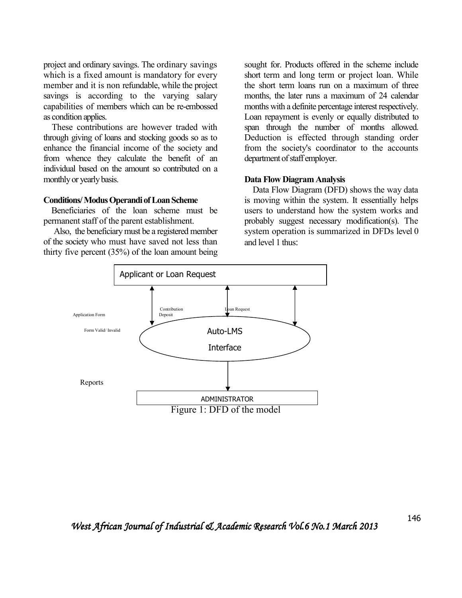project and ordinary savings. The ordinary savings which is a fixed amount is mandatory for every member and it is non refundable, while the project savings is according to the varying salary capabilities of members which can be re-embossed as condition applies.

 These contributions are however traded with through giving of loans and stocking goods so as to enhance the financial income of the society and from whence they calculate the benefit of an individual based on the amount so contributed on a monthly or yearly basis.

#### **Conditions/ Modus Operandi of Loan Scheme**

 Beneficiaries of the loan scheme must be permanent staff of the parent establishment.

 Also, the beneficiary must be a registered member of the society who must have saved not less than thirty five percent (35%) of the loan amount being sought for. Products offered in the scheme include short term and long term or project loan. While the short term loans run on a maximum of three months, the later runs a maximum of 24 calendar months with a definite percentage interest respectively. Loan repayment is evenly or equally distributed to span through the number of months allowed. Deduction is effected through standing order from the society's coordinator to the accounts department of staff employer.

### **Data Flow Diagram Analysis**

 Data Flow Diagram (DFD) shows the way data is moving within the system. It essentially helps users to understand how the system works and probably suggest necessary modification(s). The system operation is summarized in DFDs level 0 and level 1 thus:

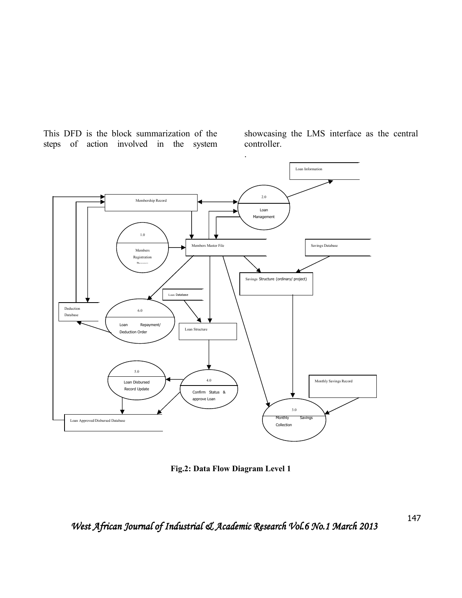This DFD is the block summarization of the steps of action involved in the system

showcasing the LMS interface as the central controller.



**Fig.2: Data Flow Diagram Level 1** 

147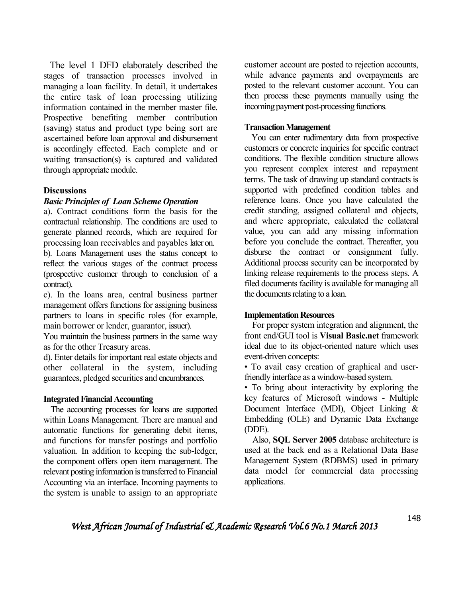The level 1 DFD elaborately described the stages of transaction processes involved in managing a loan facility. In detail, it undertakes the entire task of loan processing utilizing information contained in the member master file. Prospective benefiting member contribution (saving) status and product type being sort are ascertained before loan approval and disbursement is accordingly effected. Each complete and or waiting transaction(s) is captured and validated through appropriate module.

### **Discussions**

# *Basic Principles of Loan Scheme Operation*

a). Contract conditions form the basis for the contractual relationship. The conditions are used to generate planned records, which are required for processing loan receivables and payables later on.

b). Loans Management uses the status concept to reflect the various stages of the contract process (prospective customer through to conclusion of a contract).

c). In the loans area, central business partner management offers functions for assigning business partners to loans in specific roles (for example, main borrower or lender, guarantor, issuer).

You maintain the business partners in the same way as for the other Treasury areas.

d). Enter details for important real estate objects and other collateral in the system, including guarantees, pledged securities and encumbrances.

#### **Integrated Financial Accounting**

 The accounting processes for loans are supported within Loans Management. There are manual and automatic functions for generating debit items, and functions for transfer postings and portfolio valuation. In addition to keeping the sub-ledger, the component offers open item management. The relevant posting information is transferred to Financial Accounting via an interface. Incoming payments to the system is unable to assign to an appropriate

customer account are posted to rejection accounts, while advance payments and overpayments are posted to the relevant customer account. You can then process these payments manually using the incoming payment post-processing functions.

#### **Transaction Management**

 You can enter rudimentary data from prospective customers or concrete inquiries for specific contract conditions. The flexible condition structure allows you represent complex interest and repayment terms. The task of drawing up standard contracts is supported with predefined condition tables and reference loans. Once you have calculated the credit standing, assigned collateral and objects, and where appropriate, calculated the collateral value, you can add any missing information before you conclude the contract. Thereafter, you disburse the contract or consignment fully. Additional process security can be incorporated by linking release requirements to the process steps. A filed documents facility is available for managing all the documents relating to a loan.

#### **Implementation Resources**

 For proper system integration and alignment, the front end/GUI tool is **Visual Basic.net** framework ideal due to its object-oriented nature which uses event-driven concepts:

• To avail easy creation of graphical and userfriendly interface as a window-based system.

• To bring about interactivity by exploring the key features of Microsoft windows - Multiple Document Interface (MDI), Object Linking & Embedding (OLE) and Dynamic Data Exchange (DDE).

 Also, **SQL Server 2005** database architecture is used at the back end as a Relational Data Base Management System (RDBMS) used in primary data model for commercial data processing applications.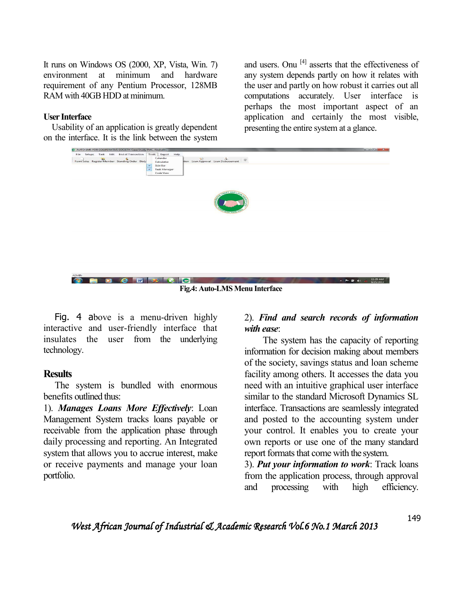It runs on Windows OS (2000, XP, Vista, Win. 7) environment at minimum and hardware requirement of any Pentium Processor, 128MB RAM with 40GB HDD at minimum.

## **User Interface**

 Usability of an application is greatly dependent on the interface. It is the link between the system

and users. Onu <sup>[4]</sup> asserts that the effectiveness of any system depends partly on how it relates with the user and partly on how robust it carries out all computations accurately. User interface is perhaps the most important aspect of an application and certainly the most visible, presenting the entire system at a glance.



 Fig. 4 above is a menu-driven highly interactive and user-friendly interface that insulates the user from the underlying technology.

# **Results**

 The system is bundled with enormous benefits outlined thus:

1). *Manages Loans More Effectively*: Loan Management System tracks loans payable or receivable from the application phase through daily processing and reporting. An Integrated system that allows you to accrue interest, make or receive payments and manage your loan portfolio.

# 2). *Find and search records of information with ease*:

 The system has the capacity of reporting information for decision making about members of the society, savings status and loan scheme facility among others. It accesses the data you need with an intuitive graphical user interface similar to the standard Microsoft Dynamics SL interface. Transactions are seamlessly integrated and posted to the accounting system under your control. It enables you to create your own reports or use one of the many standard report formats that come with the system.

3). *Put your information to work*: Track loans from the application process, through approval and processing with high efficiency.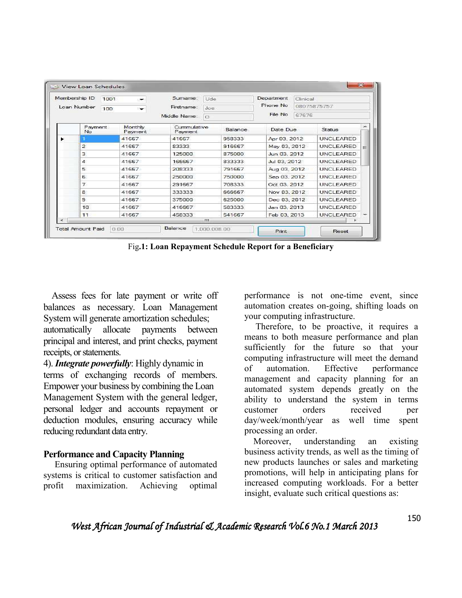| Membership ID<br>1001<br>$\overline{\phantom{a}}$ |                         |                    | Sumame:<br>Firstname:  | <b>Ude</b> | Department   | Clinical |                  |   |
|---------------------------------------------------|-------------------------|--------------------|------------------------|------------|--------------|----------|------------------|---|
| Loan Number<br>100                                |                         | Joe                |                        | Phone No.  | 08075875757  |          |                  |   |
|                                                   |                         |                    | Middle Name:           | $\Omega$   | File No      | 67676    |                  |   |
|                                                   | Payment<br>No           | Monthly<br>Payment | Cummulative<br>Payment | Balance    | Date Due     |          | Status           |   |
|                                                   |                         | 41667              | 41667                  | 958333     | Apr 03, 2012 |          | <b>UNCLEARED</b> |   |
|                                                   | $\overline{z}$          | 41667              | 83333                  | 916667     | May 03, 2012 |          | UNCLEARED        | Ξ |
|                                                   | $\overline{\mathbf{3}}$ | 41667              | 125000                 | 875000     | Jun 03, 2012 |          | <b>UNCLEARED</b> |   |
|                                                   | $\Delta$                | 41667              | 166667                 | 833333     | Jul 03, 2012 |          | <b>UNCLEARED</b> |   |
|                                                   | 5                       | 41667              | 208333                 | 791667     | Aug 03, 2012 |          | <b>UNCLEARED</b> |   |
|                                                   | 6                       | 41667              | 250000                 | 750000     | Sep 03, 2012 |          | <b>UNCLEARED</b> |   |
|                                                   | $\overline{z}$          | 41667              | 291667                 | 708333     | Oct 03, 2012 |          | <b>UNCLEARED</b> |   |
|                                                   | 8                       | 41667              | 333333                 | 666667     | Nov 03, 2012 |          | <b>UNCLEARED</b> |   |
|                                                   | 9                       | 41667              | 375000                 | 625000     | Dec 03, 2012 |          | <b>UNCLEARED</b> |   |
|                                                   | 10                      | 41667              | 416667                 | 583333     | Jan 03, 2013 |          | <b>UNCLEARED</b> |   |
|                                                   | 11                      | 41667              | 458333                 | 541667     | Feb 03, 2013 |          | <b>UNCLEARED</b> |   |
|                                                   |                         |                    |                        | m.         |              |          |                  |   |

Fig**.1: Loan Repayment Schedule Report for a Beneficiary**

 Assess fees for late payment or write off balances as necessary. Loan Management System will generate amortization schedules; automatically allocate payments between principal and interest, and print checks, payment receipts, or statements.

4). *Integrate powerfully*: Highly dynamic in terms of exchanging records of members. Empower your business by combining the Loan Management System with the general ledger, personal ledger and accounts repayment or deduction modules, ensuring accuracy while reducing redundant data entry.

# **Performance and Capacity Planning**

 Ensuring optimal performance of automated systems is critical to customer satisfaction and profit maximization. Achieving optimal

performance is not one-time event, since automation creates on-going, shifting loads on your computing infrastructure.

 Therefore, to be proactive, it requires a means to both measure performance and plan sufficiently for the future so that your computing infrastructure will meet the demand of automation. Effective performance management and capacity planning for an automated system depends greatly on the ability to understand the system in terms customer orders received per day/week/month/year as well time spent processing an order.

 Moreover, understanding an existing business activity trends, as well as the timing of new products launches or sales and marketing promotions, will help in anticipating plans for increased computing workloads. For a better insight, evaluate such critical questions as: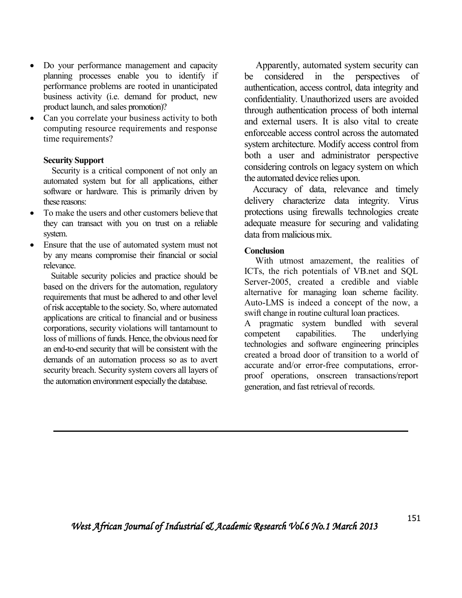- Do your performance management and capacity planning processes enable you to identify if performance problems are rooted in unanticipated business activity (i.e. demand for product, new product launch, and sales promotion)?
- Can you correlate your business activity to both computing resource requirements and response time requirements?

# **Security Support**

 Security is a critical component of not only an automated system but for all applications, either software or hardware. This is primarily driven by these reasons:

- To make the users and other customers believe that they can transact with you on trust on a reliable system.
- Ensure that the use of automated system must not by any means compromise their financial or social relevance.

 Suitable security policies and practice should be based on the drivers for the automation, regulatory requirements that must be adhered to and other level of risk acceptable to the society. So, where automated applications are critical to financial and or business corporations, security violations will tantamount to loss of millions of funds. Hence, the obvious need for an end-to-end security that will be consistent with the demands of an automation process so as to avert security breach. Security system covers all layers of the automation environment especially the database.

 Apparently, automated system security can be considered in the perspectives of authentication, access control, data integrity and confidentiality. Unauthorized users are avoided through authentication process of both internal and external users. It is also vital to create enforceable access control across the automated system architecture. Modify access control from both a user and administrator perspective considering controls on legacy system on which the automated device relies upon.

 Accuracy of data, relevance and timely delivery characterize data integrity. Virus protections using firewalls technologies create adequate measure for securing and validating data from malicious mix.

# **Conclusion**

 With utmost amazement, the realities of ICTs, the rich potentials of VB.net and SQL Server-2005, created a credible and viable alternative for managing loan scheme facility. Auto-LMS is indeed a concept of the now, a swift change in routine cultural loan practices.

A pragmatic system bundled with several competent capabilities. The underlying technologies and software engineering principles created a broad door of transition to a world of accurate and/or error-free computations, errorproof operations, onscreen transactions/report generation, and fast retrieval of records.